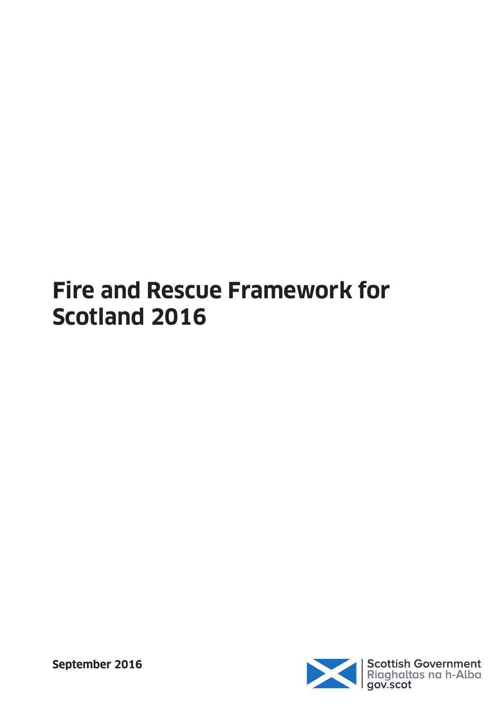# **Fire and Rescue Framework for Scotland 2016**



**September 2016**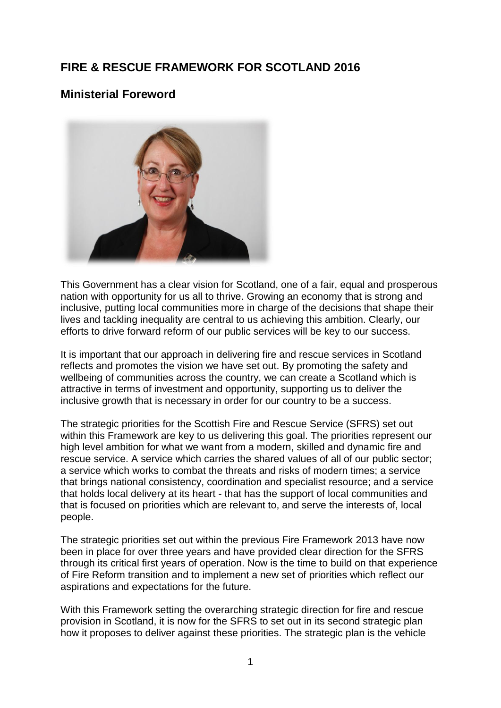## **FIRE & RESCUE FRAMEWORK FOR SCOTLAND 2016**

## **Ministerial Foreword**



This Government has a clear vision for Scotland, one of a fair, equal and prosperous nation with opportunity for us all to thrive. Growing an economy that is strong and inclusive, putting local communities more in charge of the decisions that shape their lives and tackling inequality are central to us achieving this ambition. Clearly, our efforts to drive forward reform of our public services will be key to our success.

It is important that our approach in delivering fire and rescue services in Scotland reflects and promotes the vision we have set out. By promoting the safety and wellbeing of communities across the country, we can create a Scotland which is attractive in terms of investment and opportunity, supporting us to deliver the inclusive growth that is necessary in order for our country to be a success.

The strategic priorities for the Scottish Fire and Rescue Service (SFRS) set out within this Framework are key to us delivering this goal. The priorities represent our high level ambition for what we want from a modern, skilled and dynamic fire and rescue service. A service which carries the shared values of all of our public sector; a service which works to combat the threats and risks of modern times; a service that brings national consistency, coordination and specialist resource; and a service that holds local delivery at its heart - that has the support of local communities and that is focused on priorities which are relevant to, and serve the interests of, local people.

The strategic priorities set out within the previous Fire Framework 2013 have now been in place for over three years and have provided clear direction for the SFRS through its critical first years of operation. Now is the time to build on that experience of Fire Reform transition and to implement a new set of priorities which reflect our aspirations and expectations for the future.

With this Framework setting the overarching strategic direction for fire and rescue provision in Scotland, it is now for the SFRS to set out in its second strategic plan how it proposes to deliver against these priorities. The strategic plan is the vehicle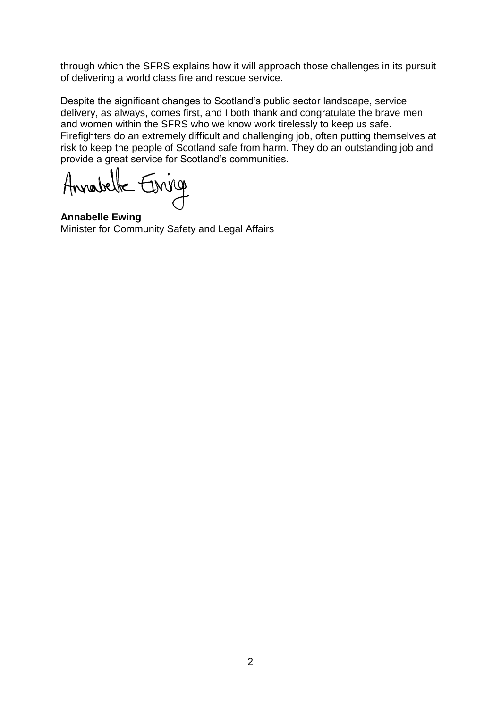through which the SFRS explains how it will approach those challenges in its pursuit of delivering a world class fire and rescue service.

Despite the significant changes to Scotland"s public sector landscape, service delivery, as always, comes first, and I both thank and congratulate the brave men and women within the SFRS who we know work tirelessly to keep us safe. Firefighters do an extremely difficult and challenging job, often putting themselves at risk to keep the people of Scotland safe from harm. They do an outstanding job and provide a great service for Scotland"s communities.

Annabelle Enriq

**Annabelle Ewing**  Minister for Community Safety and Legal Affairs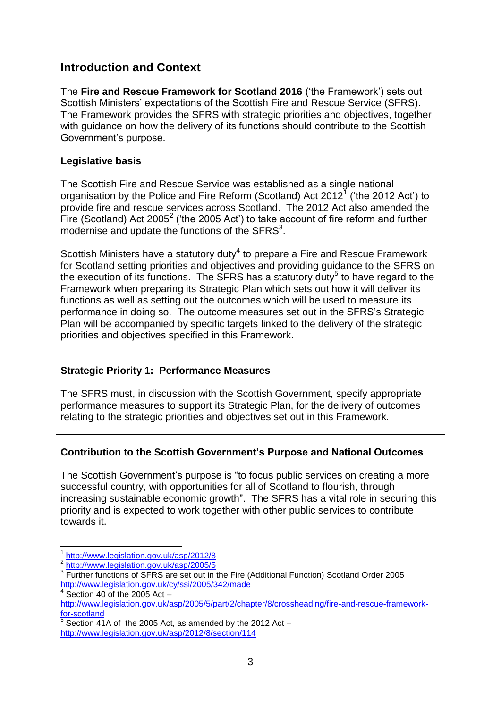## **Introduction and Context**

The **Fire and Rescue Framework for Scotland 2016** ("the Framework") sets out Scottish Ministers" expectations of the Scottish Fire and Rescue Service (SFRS). The Framework provides the SFRS with strategic priorities and objectives, together with guidance on how the delivery of its functions should contribute to the Scottish Government"s purpose.

#### **Legislative basis**

The Scottish Fire and Rescue Service was established as a single national organisation by the Police and Fire Reform (Scotland) Act 2012<sup>7</sup> ('the 2012 Act') to provide fire and rescue services across Scotland. The 2012 Act also amended the Fire (Scotland) Act 2005<sup>2</sup> ('the 2005 Act') to take account of fire reform and further modernise and update the functions of the  $SFRS<sup>3</sup>$ .

Scottish Ministers have a statutory duty<sup>4</sup> to prepare a Fire and Rescue Framework for Scotland setting priorities and objectives and providing guidance to the SFRS on the execution of its functions. The SFRS has a statutory duty<sup>5</sup> to have regard to the Framework when preparing its Strategic Plan which sets out how it will deliver its functions as well as setting out the outcomes which will be used to measure its performance in doing so. The outcome measures set out in the SFRS"s Strategic Plan will be accompanied by specific targets linked to the delivery of the strategic priorities and objectives specified in this Framework.

#### **Strategic Priority 1: Performance Measures**

The SFRS must, in discussion with the Scottish Government, specify appropriate performance measures to support its Strategic Plan, for the delivery of outcomes relating to the strategic priorities and objectives set out in this Framework.

#### **Contribution to the Scottish Government's Purpose and National Outcomes**

The Scottish Government"s purpose is "to focus public services on creating a more successful country, with opportunities for all of Scotland to flourish, through increasing sustainable economic growth". The SFRS has a vital role in securing this priority and is expected to work together with other public services to contribute towards it.

1

<sup>1</sup> <http://www.legislation.gov.uk/asp/2012/8>

<sup>2</sup> <http://www.legislation.gov.uk/asp/2005/5>

<sup>&</sup>lt;sup>3</sup> Further functions of SFRS are set out in the Fire (Additional Function) Scotland Order 2005 <http://www.legislation.gov.uk/cy/ssi/2005/342/made>

 $4\overline{)}$  Section 40 of the 2005 Act  $-$ 

[http://www.legislation.gov.uk/asp/2005/5/part/2/chapter/8/crossheading/fire-and-rescue-framework](http://www.legislation.gov.uk/asp/2005/5/part/2/chapter/8/crossheading/fire-and-rescue-framework-for-scotland)[for-scotland](http://www.legislation.gov.uk/asp/2005/5/part/2/chapter/8/crossheading/fire-and-rescue-framework-for-scotland)

 $5$  Section 41A of the 2005 Act, as amended by the 2012 Act  $$ <http://www.legislation.gov.uk/asp/2012/8/section/114>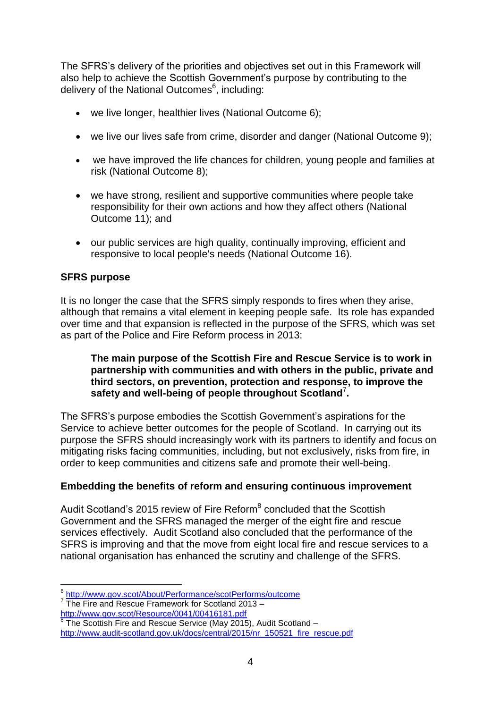The SFRS"s delivery of the priorities and objectives set out in this Framework will also help to achieve the Scottish Government"s purpose by contributing to the delivery of the National Outcomes<sup>6</sup>, including:

- we live longer, healthier lives (National Outcome 6);
- we live our lives safe from crime, disorder and danger (National Outcome 9);
- we have improved the life chances for children, young people and families at risk (National Outcome 8);
- we have strong, resilient and supportive communities where people take responsibility for their own actions and how they affect others (National Outcome 11); and
- our public services are high quality, continually improving, efficient and responsive to local people's needs (National Outcome 16).

#### **SFRS purpose**

It is no longer the case that the SFRS simply responds to fires when they arise, although that remains a vital element in keeping people safe. Its role has expanded over time and that expansion is reflected in the purpose of the SFRS, which was set as part of the Police and Fire Reform process in 2013:

#### **The main purpose of the Scottish Fire and Rescue Service is to work in partnership with communities and with others in the public, private and third sectors, on prevention, protection and response, to improve the safety and well-being of people throughout Scotland**<sup>7</sup> **.**

The SFRS"s purpose embodies the Scottish Government"s aspirations for the Service to achieve better outcomes for the people of Scotland. In carrying out its purpose the SFRS should increasingly work with its partners to identify and focus on mitigating risks facing communities, including, but not exclusively, risks from fire, in order to keep communities and citizens safe and promote their well-being.

#### **Embedding the benefits of reform and ensuring continuous improvement**

Audit Scotland's 2015 review of Fire Reform<sup>8</sup> concluded that the Scottish Government and the SFRS managed the merger of the eight fire and rescue services effectively. Audit Scotland also concluded that the performance of the SFRS is improving and that the move from eight local fire and rescue services to a national organisation has enhanced the scrutiny and challenge of the SFRS.

 6 <http://www.gov.scot/About/Performance/scotPerforms/outcome>

<sup>&</sup>lt;sup>7</sup> The Fire and Rescue Framework for Scotland 2013 <http://www.gov.scot/Resource/0041/00416181.pdf>

 $8$  The Scottish Fire and Rescue Service (May 2015), Audit Scotland [http://www.audit-scotland.gov.uk/docs/central/2015/nr\\_150521\\_fire\\_rescue.pdf](http://www.audit-scotland.gov.uk/docs/central/2015/nr_150521_fire_rescue.pdf)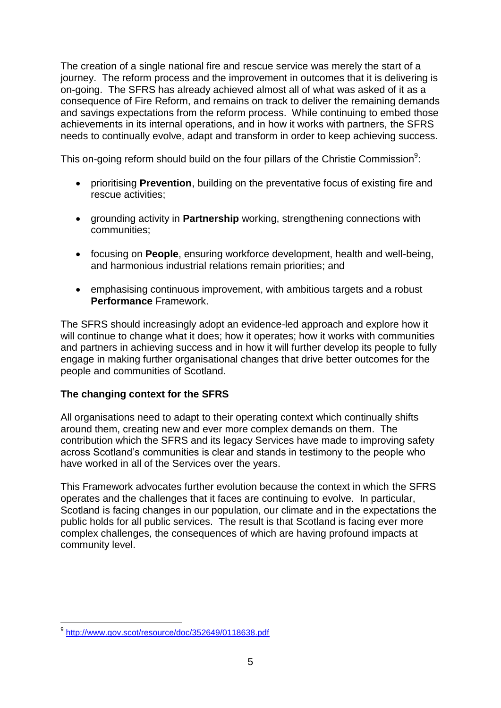The creation of a single national fire and rescue service was merely the start of a journey. The reform process and the improvement in outcomes that it is delivering is on-going. The SFRS has already achieved almost all of what was asked of it as a consequence of Fire Reform, and remains on track to deliver the remaining demands and savings expectations from the reform process. While continuing to embed those achievements in its internal operations, and in how it works with partners, the SFRS needs to continually evolve, adapt and transform in order to keep achieving success.

This on-going reform should build on the four pillars of the Christie Commission<sup>9</sup>:

- prioritising **Prevention**, building on the preventative focus of existing fire and rescue activities;
- **•** arounding activity in **Partnership** working, strengthening connections with communities;
- focusing on **People**, ensuring workforce development, health and well-being, and harmonious industrial relations remain priorities; and
- emphasising continuous improvement, with ambitious targets and a robust **Performance** Framework.

The SFRS should increasingly adopt an evidence-led approach and explore how it will continue to change what it does; how it operates; how it works with communities and partners in achieving success and in how it will further develop its people to fully engage in making further organisational changes that drive better outcomes for the people and communities of Scotland.

#### **The changing context for the SFRS**

All organisations need to adapt to their operating context which continually shifts around them, creating new and ever more complex demands on them. The contribution which the SFRS and its legacy Services have made to improving safety across Scotland"s communities is clear and stands in testimony to the people who have worked in all of the Services over the years.

This Framework advocates further evolution because the context in which the SFRS operates and the challenges that it faces are continuing to evolve. In particular, Scotland is facing changes in our population, our climate and in the expectations the public holds for all public services. The result is that Scotland is facing ever more complex challenges, the consequences of which are having profound impacts at community level.

 9 <http://www.gov.scot/resource/doc/352649/0118638.pdf>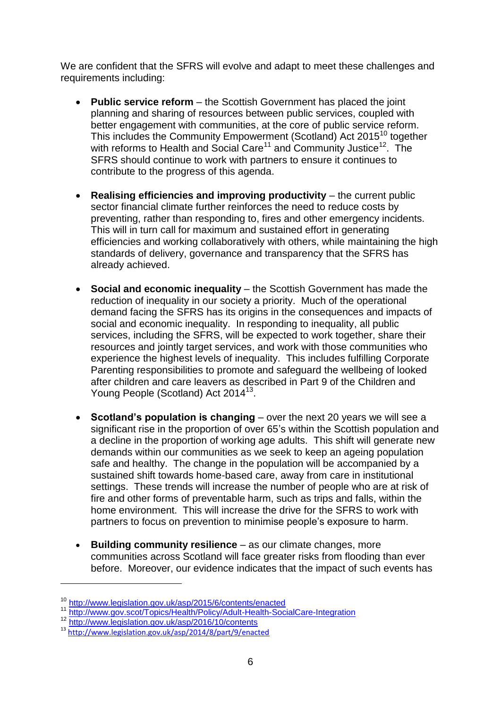We are confident that the SFRS will evolve and adapt to meet these challenges and requirements including:

- **Public service reform** the Scottish Government has placed the joint planning and sharing of resources between public services, coupled with better engagement with communities, at the core of public service reform. This includes the Community Empowerment (Scotland) Act 2015<sup>10</sup> together with reforms to Health and Social Care<sup>11</sup> and Community Justice<sup>12</sup>. The SFRS should continue to work with partners to ensure it continues to contribute to the progress of this agenda.
- **Realising efficiencies and improving productivity** the current public sector financial climate further reinforces the need to reduce costs by preventing, rather than responding to, fires and other emergency incidents. This will in turn call for maximum and sustained effort in generating efficiencies and working collaboratively with others, while maintaining the high standards of delivery, governance and transparency that the SFRS has already achieved.
- **Social and economic inequality** the Scottish Government has made the reduction of inequality in our society a priority. Much of the operational demand facing the SFRS has its origins in the consequences and impacts of social and economic inequality. In responding to inequality, all public services, including the SFRS, will be expected to work together, share their resources and jointly target services, and work with those communities who experience the highest levels of inequality. This includes fulfilling Corporate Parenting responsibilities to promote and safeguard the wellbeing of looked after children and care leavers as described in Part 9 of the Children and Young People (Scotland) Act 2014<sup>13</sup>.
- **Scotland's population is changing** over the next 20 years we will see a significant rise in the proportion of over 65's within the Scottish population and a decline in the proportion of working age adults. This shift will generate new demands within our communities as we seek to keep an ageing population safe and healthy. The change in the population will be accompanied by a sustained shift towards home-based care, away from care in institutional settings. These trends will increase the number of people who are at risk of fire and other forms of preventable harm, such as trips and falls, within the home environment. This will increase the drive for the SFRS to work with partners to focus on prevention to minimise people"s exposure to harm.
- **Building community resilience** as our climate changes, more communities across Scotland will face greater risks from flooding than ever before. Moreover, our evidence indicates that the impact of such events has

1

<sup>10</sup> <http://www.legislation.gov.uk/asp/2015/6/contents/enacted>

<sup>11</sup> <http://www.gov.scot/Topics/Health/Policy/Adult-Health-SocialCare-Integration>

<sup>12</sup> <http://www.legislation.gov.uk/asp/2016/10/contents>

<sup>13</sup> <http://www.legislation.gov.uk/asp/2014/8/part/9/enacted>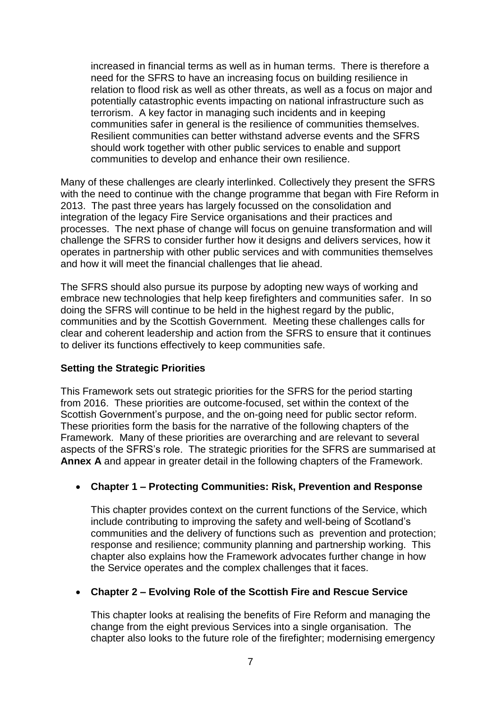increased in financial terms as well as in human terms. There is therefore a need for the SFRS to have an increasing focus on building resilience in relation to flood risk as well as other threats, as well as a focus on major and potentially catastrophic events impacting on national infrastructure such as terrorism. A key factor in managing such incidents and in keeping communities safer in general is the resilience of communities themselves. Resilient communities can better withstand adverse events and the SFRS should work together with other public services to enable and support communities to develop and enhance their own resilience.

Many of these challenges are clearly interlinked. Collectively they present the SFRS with the need to continue with the change programme that began with Fire Reform in 2013. The past three years has largely focussed on the consolidation and integration of the legacy Fire Service organisations and their practices and processes. The next phase of change will focus on genuine transformation and will challenge the SFRS to consider further how it designs and delivers services, how it operates in partnership with other public services and with communities themselves and how it will meet the financial challenges that lie ahead.

The SFRS should also pursue its purpose by adopting new ways of working and embrace new technologies that help keep firefighters and communities safer. In so doing the SFRS will continue to be held in the highest regard by the public, communities and by the Scottish Government. Meeting these challenges calls for clear and coherent leadership and action from the SFRS to ensure that it continues to deliver its functions effectively to keep communities safe.

#### **Setting the Strategic Priorities**

This Framework sets out strategic priorities for the SFRS for the period starting from 2016. These priorities are outcome-focused, set within the context of the Scottish Government's purpose, and the on-going need for public sector reform. These priorities form the basis for the narrative of the following chapters of the Framework. Many of these priorities are overarching and are relevant to several aspects of the SFRS"s role. The strategic priorities for the SFRS are summarised at **Annex A** and appear in greater detail in the following chapters of the Framework.

#### **Chapter 1 – Protecting Communities: Risk, Prevention and Response**

This chapter provides context on the current functions of the Service, which include contributing to improving the safety and well-being of Scotland"s communities and the delivery of functions such as prevention and protection; response and resilience; community planning and partnership working. This chapter also explains how the Framework advocates further change in how the Service operates and the complex challenges that it faces.

#### **Chapter 2 – Evolving Role of the Scottish Fire and Rescue Service**

This chapter looks at realising the benefits of Fire Reform and managing the change from the eight previous Services into a single organisation. The chapter also looks to the future role of the firefighter; modernising emergency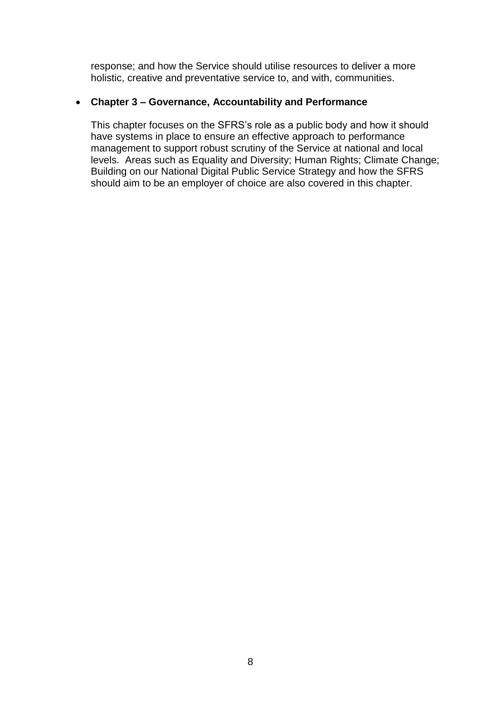response; and how the Service should utilise resources to deliver a more holistic, creative and preventative service to, and with, communities.

#### **Chapter 3 – Governance, Accountability and Performance**

This chapter focuses on the SFRS"s role as a public body and how it should have systems in place to ensure an effective approach to performance management to support robust scrutiny of the Service at national and local levels. Areas such as Equality and Diversity; Human Rights; Climate Change; Building on our National Digital Public Service Strategy and how the SFRS should aim to be an employer of choice are also covered in this chapter.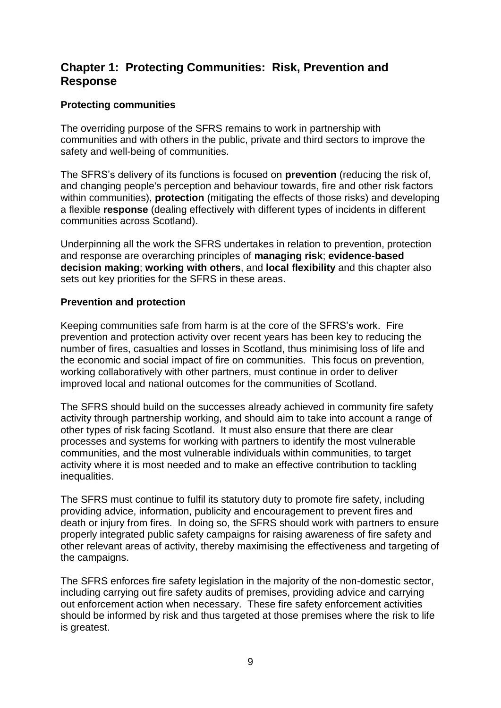## **Chapter 1: Protecting Communities: Risk, Prevention and Response**

#### **Protecting communities**

The overriding purpose of the SFRS remains to work in partnership with communities and with others in the public, private and third sectors to improve the safety and well-being of communities.

The SFRS"s delivery of its functions is focused on **prevention** (reducing the risk of, and changing people's perception and behaviour towards, fire and other risk factors within communities), **protection** (mitigating the effects of those risks) and developing a flexible **response** (dealing effectively with different types of incidents in different communities across Scotland).

Underpinning all the work the SFRS undertakes in relation to prevention, protection and response are overarching principles of **managing risk**; **evidence-based decision making**; **working with others**, and **local flexibility** and this chapter also sets out key priorities for the SFRS in these areas.

#### **Prevention and protection**

Keeping communities safe from harm is at the core of the SFRS"s work. Fire prevention and protection activity over recent years has been key to reducing the number of fires, casualties and losses in Scotland, thus minimising loss of life and the economic and social impact of fire on communities. This focus on prevention, working collaboratively with other partners, must continue in order to deliver improved local and national outcomes for the communities of Scotland.

The SFRS should build on the successes already achieved in community fire safety activity through partnership working, and should aim to take into account a range of other types of risk facing Scotland. It must also ensure that there are clear processes and systems for working with partners to identify the most vulnerable communities, and the most vulnerable individuals within communities, to target activity where it is most needed and to make an effective contribution to tackling inequalities.

The SFRS must continue to fulfil its statutory duty to promote fire safety, including providing advice, information, publicity and encouragement to prevent fires and death or injury from fires. In doing so, the SFRS should work with partners to ensure properly integrated public safety campaigns for raising awareness of fire safety and other relevant areas of activity, thereby maximising the effectiveness and targeting of the campaigns.

The SFRS enforces fire safety legislation in the majority of the non-domestic sector, including carrying out fire safety audits of premises, providing advice and carrying out enforcement action when necessary. These fire safety enforcement activities should be informed by risk and thus targeted at those premises where the risk to life is greatest.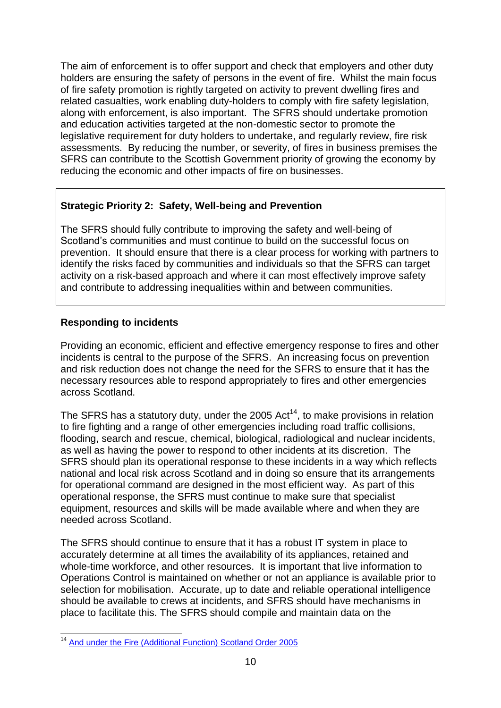The aim of enforcement is to offer support and check that employers and other duty holders are ensuring the safety of persons in the event of fire. Whilst the main focus of fire safety promotion is rightly targeted on activity to prevent dwelling fires and related casualties, work enabling duty-holders to comply with fire safety legislation, along with enforcement, is also important. The SFRS should undertake promotion and education activities targeted at the non-domestic sector to promote the legislative requirement for duty holders to undertake, and regularly review, fire risk assessments. By reducing the number, or severity, of fires in business premises the SFRS can contribute to the Scottish Government priority of growing the economy by reducing the economic and other impacts of fire on businesses.

#### **Strategic Priority 2: Safety, Well-being and Prevention**

The SFRS should fully contribute to improving the safety and well-being of Scotland"s communities and must continue to build on the successful focus on prevention. It should ensure that there is a clear process for working with partners to identify the risks faced by communities and individuals so that the SFRS can target activity on a risk-based approach and where it can most effectively improve safety and contribute to addressing inequalities within and between communities.

#### **Responding to incidents**

1

Providing an economic, efficient and effective emergency response to fires and other incidents is central to the purpose of the SFRS. An increasing focus on prevention and risk reduction does not change the need for the SFRS to ensure that it has the necessary resources able to respond appropriately to fires and other emergencies across Scotland.

The SFRS has a statutory duty, under the 2005 Act<sup>14</sup>, to make provisions in relation to fire fighting and a range of other emergencies including road traffic collisions, flooding, search and rescue, chemical, biological, radiological and nuclear incidents, as well as having the power to respond to other incidents at its discretion. The SFRS should plan its operational response to these incidents in a way which reflects national and local risk across Scotland and in doing so ensure that its arrangements for operational command are designed in the most efficient way. As part of this operational response, the SFRS must continue to make sure that specialist equipment, resources and skills will be made available where and when they are needed across Scotland.

The SFRS should continue to ensure that it has a robust IT system in place to accurately determine at all times the availability of its appliances, retained and whole-time workforce, and other resources. It is important that live information to Operations Control is maintained on whether or not an appliance is available prior to selection for mobilisation. Accurate, up to date and reliable operational intelligence should be available to crews at incidents, and SFRS should have mechanisms in place to facilitate this. The SFRS should compile and maintain data on the

<sup>&</sup>lt;sup>14</sup> [And under the Fire \(Additional Function\) Scotland Order 2005](http://www.legislation.gov.uk/ssi/2005/342/contents/made)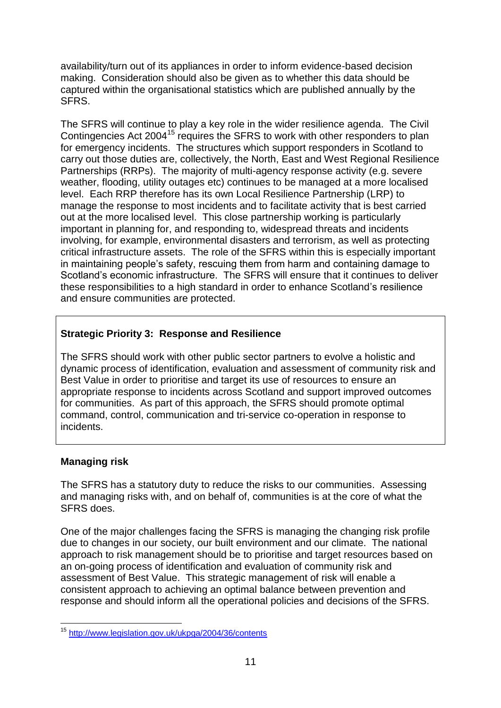availability/turn out of its appliances in order to inform evidence-based decision making. Consideration should also be given as to whether this data should be captured within the organisational statistics which are published annually by the SFRS.

The SFRS will continue to play a key role in the wider resilience agenda. The Civil Contingencies Act 2004<sup>15</sup> requires the SFRS to work with other responders to plan for emergency incidents. The structures which support responders in Scotland to carry out those duties are, collectively, the North, East and West Regional Resilience Partnerships (RRPs). The majority of multi-agency response activity (e.g. severe weather, flooding, utility outages etc) continues to be managed at a more localised level. Each RRP therefore has its own Local Resilience Partnership (LRP) to manage the response to most incidents and to facilitate activity that is best carried out at the more localised level. This close partnership working is particularly important in planning for, and responding to, widespread threats and incidents involving, for example, environmental disasters and terrorism, as well as protecting critical infrastructure assets. The role of the SFRS within this is especially important in maintaining people"s safety, rescuing them from harm and containing damage to Scotland"s economic infrastructure. The SFRS will ensure that it continues to deliver these responsibilities to a high standard in order to enhance Scotland"s resilience and ensure communities are protected.

#### **Strategic Priority 3: Response and Resilience**

The SFRS should work with other public sector partners to evolve a holistic and dynamic process of identification, evaluation and assessment of community risk and Best Value in order to prioritise and target its use of resources to ensure an appropriate response to incidents across Scotland and support improved outcomes for communities. As part of this approach, the SFRS should promote optimal command, control, communication and tri-service co-operation in response to incidents.

#### **Managing risk**

The SFRS has a statutory duty to reduce the risks to our communities. Assessing and managing risks with, and on behalf of, communities is at the core of what the SFRS does.

One of the major challenges facing the SFRS is managing the changing risk profile due to changes in our society, our built environment and our climate. The national approach to risk management should be to prioritise and target resources based on an on-going process of identification and evaluation of community risk and assessment of Best Value. This strategic management of risk will enable a consistent approach to achieving an optimal balance between prevention and response and should inform all the operational policies and decisions of the SFRS.

<sup>1</sup> <sup>15</sup> <http://www.legislation.gov.uk/ukpga/2004/36/contents>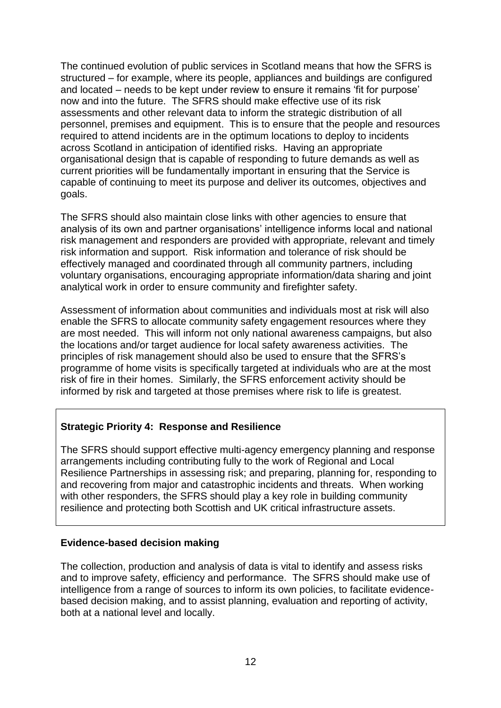The continued evolution of public services in Scotland means that how the SFRS is structured – for example, where its people, appliances and buildings are configured and located – needs to be kept under review to ensure it remains "fit for purpose" now and into the future. The SFRS should make effective use of its risk assessments and other relevant data to inform the strategic distribution of all personnel, premises and equipment. This is to ensure that the people and resources required to attend incidents are in the optimum locations to deploy to incidents across Scotland in anticipation of identified risks. Having an appropriate organisational design that is capable of responding to future demands as well as current priorities will be fundamentally important in ensuring that the Service is capable of continuing to meet its purpose and deliver its outcomes, objectives and goals.

The SFRS should also maintain close links with other agencies to ensure that analysis of its own and partner organisations" intelligence informs local and national risk management and responders are provided with appropriate, relevant and timely risk information and support. Risk information and tolerance of risk should be effectively managed and coordinated through all community partners, including voluntary organisations, encouraging appropriate information/data sharing and joint analytical work in order to ensure community and firefighter safety.

Assessment of information about communities and individuals most at risk will also enable the SFRS to allocate community safety engagement resources where they are most needed. This will inform not only national awareness campaigns, but also the locations and/or target audience for local safety awareness activities. The principles of risk management should also be used to ensure that the SFRS"s programme of home visits is specifically targeted at individuals who are at the most risk of fire in their homes. Similarly, the SFRS enforcement activity should be informed by risk and targeted at those premises where risk to life is greatest.

#### **Strategic Priority 4: Response and Resilience**

The SFRS should support effective multi-agency emergency planning and response arrangements including contributing fully to the work of Regional and Local Resilience Partnerships in assessing risk; and preparing, planning for, responding to and recovering from major and catastrophic incidents and threats. When working with other responders, the SFRS should play a key role in building community resilience and protecting both Scottish and UK critical infrastructure assets.

#### **Evidence-based decision making**

The collection, production and analysis of data is vital to identify and assess risks and to improve safety, efficiency and performance. The SFRS should make use of intelligence from a range of sources to inform its own policies, to facilitate evidencebased decision making, and to assist planning, evaluation and reporting of activity, both at a national level and locally.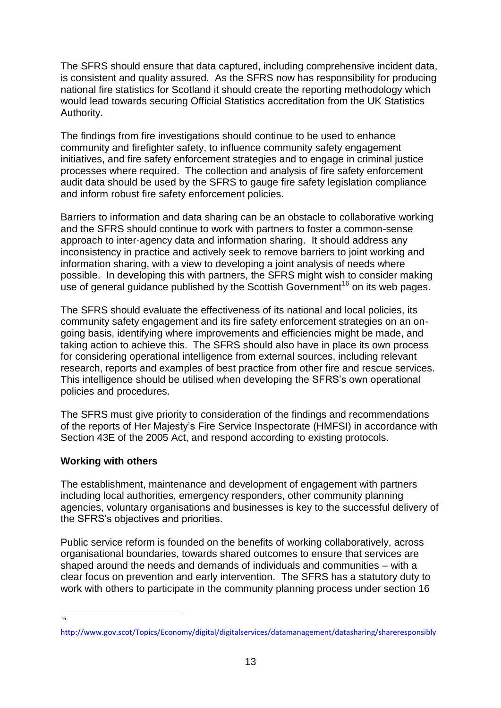The SFRS should ensure that data captured, including comprehensive incident data, is consistent and quality assured. As the SFRS now has responsibility for producing national fire statistics for Scotland it should create the reporting methodology which would lead towards securing Official Statistics accreditation from the UK Statistics Authority.

The findings from fire investigations should continue to be used to enhance community and firefighter safety, to influence community safety engagement initiatives, and fire safety enforcement strategies and to engage in criminal justice processes where required. The collection and analysis of fire safety enforcement audit data should be used by the SFRS to gauge fire safety legislation compliance and inform robust fire safety enforcement policies.

Barriers to information and data sharing can be an obstacle to collaborative working and the SFRS should continue to work with partners to foster a common-sense approach to inter-agency data and information sharing. It should address any inconsistency in practice and actively seek to remove barriers to joint working and information sharing, with a view to developing a joint analysis of needs where possible. In developing this with partners, the SFRS might wish to consider making use of general guidance published by the Scottish Government<sup>16</sup> on its web pages.

The SFRS should evaluate the effectiveness of its national and local policies, its community safety engagement and its fire safety enforcement strategies on an ongoing basis, identifying where improvements and efficiencies might be made, and taking action to achieve this. The SFRS should also have in place its own process for considering operational intelligence from external sources, including relevant research, reports and examples of best practice from other fire and rescue services. This intelligence should be utilised when developing the SFRS"s own operational policies and procedures.

The SFRS must give priority to consideration of the findings and recommendations of the reports of Her Majesty"s Fire Service Inspectorate (HMFSI) in accordance with Section 43E of the 2005 Act, and respond according to existing protocols.

#### **Working with others**

The establishment, maintenance and development of engagement with partners including local authorities, emergency responders, other community planning agencies, voluntary organisations and businesses is key to the successful delivery of the SFRS"s objectives and priorities.

Public service reform is founded on the benefits of working collaboratively, across organisational boundaries, towards shared outcomes to ensure that services are shaped around the needs and demands of individuals and communities – with a clear focus on prevention and early intervention. The SFRS has a statutory duty to work with others to participate in the community planning process under section 16

 $\frac{1}{16}$ 

<http://www.gov.scot/Topics/Economy/digital/digitalservices/datamanagement/datasharing/shareresponsibly>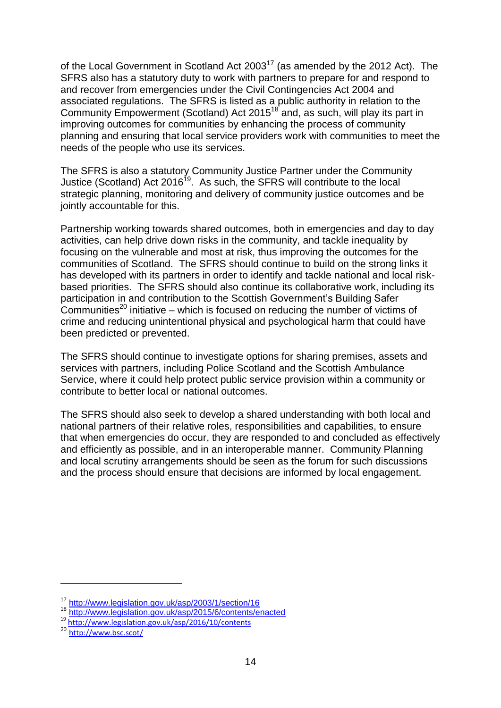of the Local Government in Scotland Act 2003<sup>17</sup> (as amended by the 2012 Act). The SFRS also has a statutory duty to work with partners to prepare for and respond to and recover from emergencies under the Civil Contingencies Act 2004 and associated regulations. The SFRS is listed as a public authority in relation to the Community Empowerment (Scotland) Act 2015<sup>18</sup> and, as such, will play its part in improving outcomes for communities by enhancing the process of community planning and ensuring that local service providers work with communities to meet the needs of the people who use its services.

The SFRS is also a statutory Community Justice Partner under the Community Justice (Scotland) Act 2016<sup>19</sup>. As such, the SFRS will contribute to the local strategic planning, monitoring and delivery of community justice outcomes and be jointly accountable for this.

Partnership working towards shared outcomes, both in emergencies and day to day activities, can help drive down risks in the community, and tackle inequality by focusing on the vulnerable and most at risk, thus improving the outcomes for the communities of Scotland. The SFRS should continue to build on the strong links it has developed with its partners in order to identify and tackle national and local riskbased priorities. The SFRS should also continue its collaborative work, including its participation in and contribution to the Scottish Government's Building Safer Communities<sup>20</sup> initiative – which is focused on reducing the number of victims of crime and reducing unintentional physical and psychological harm that could have been predicted or prevented.

The SFRS should continue to investigate options for sharing premises, assets and services with partners, including Police Scotland and the Scottish Ambulance Service, where it could help protect public service provision within a community or contribute to better local or national outcomes.

The SFRS should also seek to develop a shared understanding with both local and national partners of their relative roles, responsibilities and capabilities, to ensure that when emergencies do occur, they are responded to and concluded as effectively and efficiently as possible, and in an interoperable manner. Community Planning and local scrutiny arrangements should be seen as the forum for such discussions and the process should ensure that decisions are informed by local engagement.

1

<sup>17</sup> <http://www.legislation.gov.uk/asp/2003/1/section/16>

<sup>18</sup> http://www.iegislation.gov.uk/asp/2015/6/contents/enacted

<sup>19</sup> <http://www.legislation.gov.uk/asp/2016/10/contents>

<sup>20</sup> <http://www.bsc.scot/>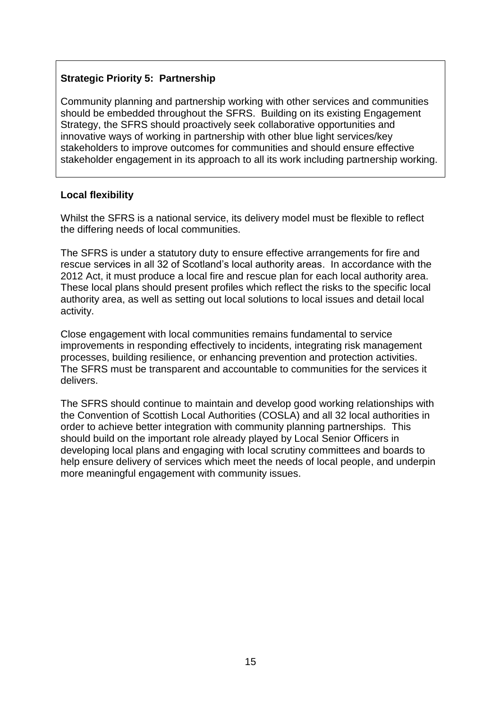#### **Strategic Priority 5: Partnership**

Community planning and partnership working with other services and communities should be embedded throughout the SFRS. Building on its existing Engagement Strategy, the SFRS should proactively seek collaborative opportunities and innovative ways of working in partnership with other blue light services/key stakeholders to improve outcomes for communities and should ensure effective stakeholder engagement in its approach to all its work including partnership working.

#### **Local flexibility**

Whilst the SFRS is a national service, its delivery model must be flexible to reflect the differing needs of local communities.

The SFRS is under a statutory duty to ensure effective arrangements for fire and rescue services in all 32 of Scotland"s local authority areas. In accordance with the 2012 Act, it must produce a local fire and rescue plan for each local authority area. These local plans should present profiles which reflect the risks to the specific local authority area, as well as setting out local solutions to local issues and detail local activity.

Close engagement with local communities remains fundamental to service improvements in responding effectively to incidents, integrating risk management processes, building resilience, or enhancing prevention and protection activities. The SFRS must be transparent and accountable to communities for the services it delivers.

The SFRS should continue to maintain and develop good working relationships with the Convention of Scottish Local Authorities (COSLA) and all 32 local authorities in order to achieve better integration with community planning partnerships. This should build on the important role already played by Local Senior Officers in developing local plans and engaging with local scrutiny committees and boards to help ensure delivery of services which meet the needs of local people, and underpin more meaningful engagement with community issues.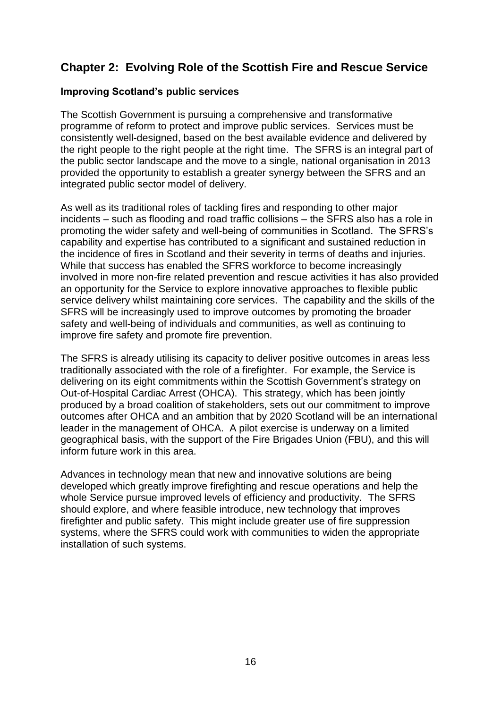## **Chapter 2: Evolving Role of the Scottish Fire and Rescue Service**

#### **Improving Scotland's public services**

The Scottish Government is pursuing a comprehensive and transformative programme of reform to protect and improve public services. Services must be consistently well-designed, based on the best available evidence and delivered by the right people to the right people at the right time. The SFRS is an integral part of the public sector landscape and the move to a single, national organisation in 2013 provided the opportunity to establish a greater synergy between the SFRS and an integrated public sector model of delivery.

As well as its traditional roles of tackling fires and responding to other major incidents – such as flooding and road traffic collisions – the SFRS also has a role in promoting the wider safety and well-being of communities in Scotland. The SFRS"s capability and expertise has contributed to a significant and sustained reduction in the incidence of fires in Scotland and their severity in terms of deaths and injuries. While that success has enabled the SFRS workforce to become increasingly involved in more non-fire related prevention and rescue activities it has also provided an opportunity for the Service to explore innovative approaches to flexible public service delivery whilst maintaining core services. The capability and the skills of the SFRS will be increasingly used to improve outcomes by promoting the broader safety and well-being of individuals and communities, as well as continuing to improve fire safety and promote fire prevention.

The SFRS is already utilising its capacity to deliver positive outcomes in areas less traditionally associated with the role of a firefighter. For example, the Service is delivering on its eight commitments within the Scottish Government's strategy on Out-of-Hospital Cardiac Arrest (OHCA). This strategy, which has been jointly produced by a broad coalition of stakeholders, sets out our commitment to improve outcomes after OHCA and an ambition that by 2020 Scotland will be an international leader in the management of OHCA. A pilot exercise is underway on a limited geographical basis, with the support of the Fire Brigades Union (FBU), and this will inform future work in this area.

Advances in technology mean that new and innovative solutions are being developed which greatly improve firefighting and rescue operations and help the whole Service pursue improved levels of efficiency and productivity. The SFRS should explore, and where feasible introduce, new technology that improves firefighter and public safety. This might include greater use of fire suppression systems, where the SFRS could work with communities to widen the appropriate installation of such systems.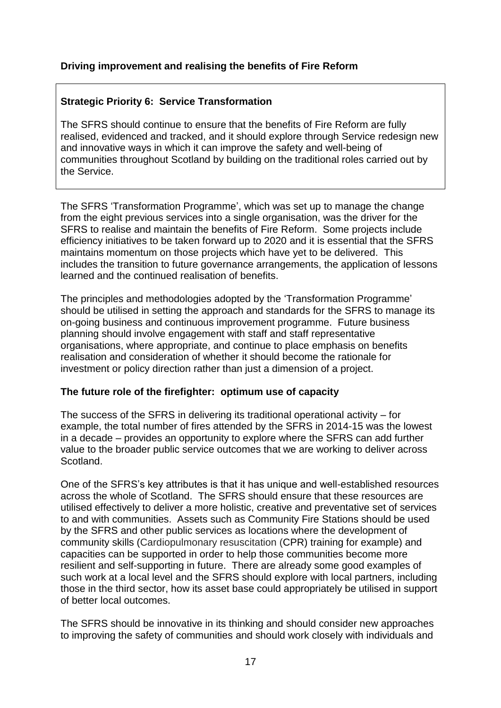#### **Driving improvement and realising the benefits of Fire Reform**

#### **Strategic Priority 6: Service Transformation**

The SFRS should continue to ensure that the benefits of Fire Reform are fully realised, evidenced and tracked, and it should explore through Service redesign new and innovative ways in which it can improve the safety and well-being of communities throughout Scotland by building on the traditional roles carried out by the Service.

The SFRS "Transformation Programme", which was set up to manage the change from the eight previous services into a single organisation, was the driver for the SFRS to realise and maintain the benefits of Fire Reform. Some projects include efficiency initiatives to be taken forward up to 2020 and it is essential that the SFRS maintains momentum on those projects which have yet to be delivered. This includes the transition to future governance arrangements, the application of lessons learned and the continued realisation of benefits.

The principles and methodologies adopted by the "Transformation Programme" should be utilised in setting the approach and standards for the SFRS to manage its on-going business and continuous improvement programme. Future business planning should involve engagement with staff and staff representative organisations, where appropriate, and continue to place emphasis on benefits realisation and consideration of whether it should become the rationale for investment or policy direction rather than just a dimension of a project.

#### **The future role of the firefighter: optimum use of capacity**

The success of the SFRS in delivering its traditional operational activity – for example, the total number of fires attended by the SFRS in 2014-15 was the lowest in a decade – provides an opportunity to explore where the SFRS can add further value to the broader public service outcomes that we are working to deliver across Scotland.

One of the SFRS"s key attributes is that it has unique and well-established resources across the whole of Scotland. The SFRS should ensure that these resources are utilised effectively to deliver a more holistic, creative and preventative set of services to and with communities. Assets such as Community Fire Stations should be used by the SFRS and other public services as locations where the development of community skills (Cardiopulmonary resuscitation (CPR) training for example) and capacities can be supported in order to help those communities become more resilient and self-supporting in future. There are already some good examples of such work at a local level and the SFRS should explore with local partners, including those in the third sector, how its asset base could appropriately be utilised in support of better local outcomes.

The SFRS should be innovative in its thinking and should consider new approaches to improving the safety of communities and should work closely with individuals and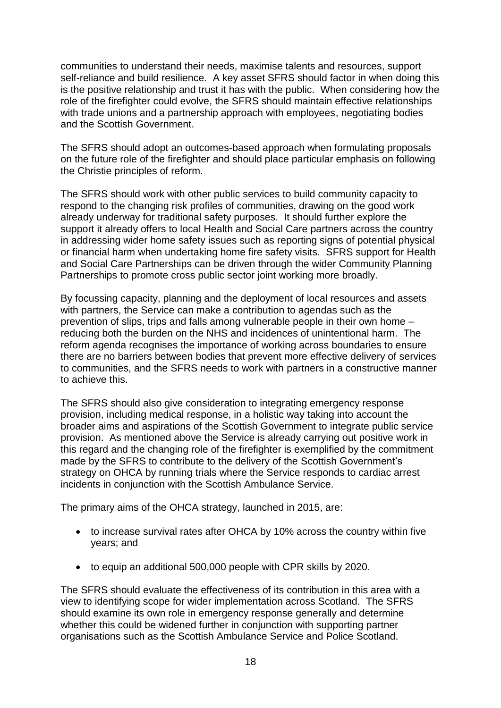communities to understand their needs, maximise talents and resources, support self-reliance and build resilience. A key asset SFRS should factor in when doing this is the positive relationship and trust it has with the public. When considering how the role of the firefighter could evolve, the SFRS should maintain effective relationships with trade unions and a partnership approach with employees, negotiating bodies and the Scottish Government.

The SFRS should adopt an outcomes-based approach when formulating proposals on the future role of the firefighter and should place particular emphasis on following the Christie principles of reform.

The SFRS should work with other public services to build community capacity to respond to the changing risk profiles of communities, drawing on the good work already underway for traditional safety purposes. It should further explore the support it already offers to local Health and Social Care partners across the country in addressing wider home safety issues such as reporting signs of potential physical or financial harm when undertaking home fire safety visits. SFRS support for Health and Social Care Partnerships can be driven through the wider Community Planning Partnerships to promote cross public sector joint working more broadly.

By focussing capacity, planning and the deployment of local resources and assets with partners, the Service can make a contribution to agendas such as the prevention of slips, trips and falls among vulnerable people in their own home – reducing both the burden on the NHS and incidences of unintentional harm. The reform agenda recognises the importance of working across boundaries to ensure there are no barriers between bodies that prevent more effective delivery of services to communities, and the SFRS needs to work with partners in a constructive manner to achieve this.

The SFRS should also give consideration to integrating emergency response provision, including medical response, in a holistic way taking into account the broader aims and aspirations of the Scottish Government to integrate public service provision. As mentioned above the Service is already carrying out positive work in this regard and the changing role of the firefighter is exemplified by the commitment made by the SFRS to contribute to the delivery of the Scottish Government"s strategy on OHCA by running trials where the Service responds to cardiac arrest incidents in conjunction with the Scottish Ambulance Service.

The primary aims of the OHCA strategy, launched in 2015, are:

- to increase survival rates after OHCA by 10% across the country within five years; and
- to equip an additional 500,000 people with CPR skills by 2020.

The SFRS should evaluate the effectiveness of its contribution in this area with a view to identifying scope for wider implementation across Scotland. The SFRS should examine its own role in emergency response generally and determine whether this could be widened further in conjunction with supporting partner organisations such as the Scottish Ambulance Service and Police Scotland.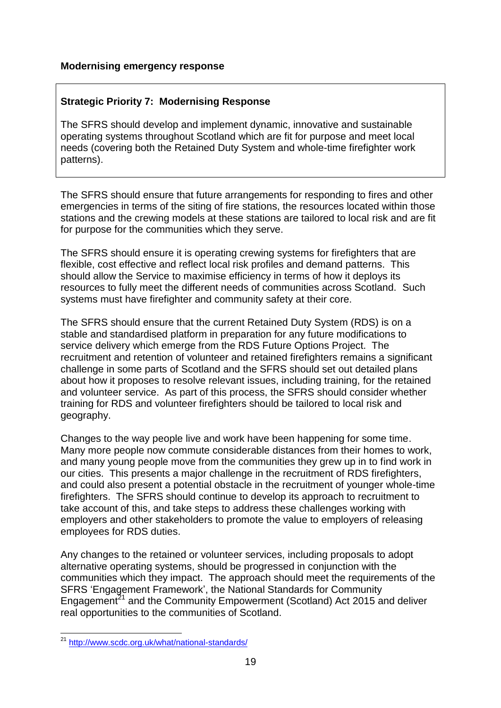#### **Strategic Priority 7: Modernising Response**

The SFRS should develop and implement dynamic, innovative and sustainable operating systems throughout Scotland which are fit for purpose and meet local needs (covering both the Retained Duty System and whole-time firefighter work patterns).

The SFRS should ensure that future arrangements for responding to fires and other emergencies in terms of the siting of fire stations, the resources located within those stations and the crewing models at these stations are tailored to local risk and are fit for purpose for the communities which they serve.

The SFRS should ensure it is operating crewing systems for firefighters that are flexible, cost effective and reflect local risk profiles and demand patterns. This should allow the Service to maximise efficiency in terms of how it deploys its resources to fully meet the different needs of communities across Scotland. Such systems must have firefighter and community safety at their core.

The SFRS should ensure that the current Retained Duty System (RDS) is on a stable and standardised platform in preparation for any future modifications to service delivery which emerge from the RDS Future Options Project. The recruitment and retention of volunteer and retained firefighters remains a significant challenge in some parts of Scotland and the SFRS should set out detailed plans about how it proposes to resolve relevant issues, including training, for the retained and volunteer service. As part of this process, the SFRS should consider whether training for RDS and volunteer firefighters should be tailored to local risk and geography.

Changes to the way people live and work have been happening for some time. Many more people now commute considerable distances from their homes to work, and many young people move from the communities they grew up in to find work in our cities. This presents a major challenge in the recruitment of RDS firefighters, and could also present a potential obstacle in the recruitment of younger whole-time firefighters. The SFRS should continue to develop its approach to recruitment to take account of this, and take steps to address these challenges working with employers and other stakeholders to promote the value to employers of releasing employees for RDS duties.

Any changes to the retained or volunteer services, including proposals to adopt alternative operating systems, should be progressed in conjunction with the communities which they impact. The approach should meet the requirements of the SFRS "Engagement Framework", the National Standards for Community Engagement<sup>21</sup> and the Community Empowerment (Scotland) Act 2015 and deliver real opportunities to the communities of Scotland.

<sup>1</sup> <sup>21</sup> <http://www.scdc.org.uk/what/national-standards/>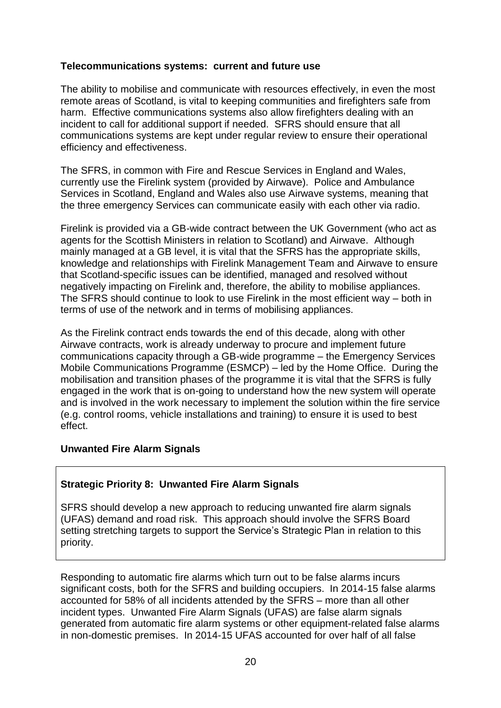#### **Telecommunications systems: current and future use**

The ability to mobilise and communicate with resources effectively, in even the most remote areas of Scotland, is vital to keeping communities and firefighters safe from harm. Effective communications systems also allow firefighters dealing with an incident to call for additional support if needed. SFRS should ensure that all communications systems are kept under regular review to ensure their operational efficiency and effectiveness.

The SFRS, in common with Fire and Rescue Services in England and Wales, currently use the Firelink system (provided by Airwave). Police and Ambulance Services in Scotland, England and Wales also use Airwave systems, meaning that the three emergency Services can communicate easily with each other via radio.

Firelink is provided via a GB-wide contract between the UK Government (who act as agents for the Scottish Ministers in relation to Scotland) and Airwave. Although mainly managed at a GB level, it is vital that the SFRS has the appropriate skills, knowledge and relationships with Firelink Management Team and Airwave to ensure that Scotland-specific issues can be identified, managed and resolved without negatively impacting on Firelink and, therefore, the ability to mobilise appliances. The SFRS should continue to look to use Firelink in the most efficient way – both in terms of use of the network and in terms of mobilising appliances.

As the Firelink contract ends towards the end of this decade, along with other Airwave contracts, work is already underway to procure and implement future communications capacity through a GB-wide programme – the Emergency Services Mobile Communications Programme (ESMCP) – led by the Home Office. During the mobilisation and transition phases of the programme it is vital that the SFRS is fully engaged in the work that is on-going to understand how the new system will operate and is involved in the work necessary to implement the solution within the fire service (e.g. control rooms, vehicle installations and training) to ensure it is used to best effect.

#### **Unwanted Fire Alarm Signals**

#### **Strategic Priority 8: Unwanted Fire Alarm Signals**

SFRS should develop a new approach to reducing unwanted fire alarm signals (UFAS) demand and road risk. This approach should involve the SFRS Board setting stretching targets to support the Service's Strategic Plan in relation to this priority.

Responding to automatic fire alarms which turn out to be false alarms incurs significant costs, both for the SFRS and building occupiers. In 2014-15 false alarms accounted for 58% of all incidents attended by the SFRS – more than all other incident types. Unwanted Fire Alarm Signals (UFAS) are false alarm signals generated from automatic fire alarm systems or other equipment-related false alarms in non-domestic premises. In 2014-15 UFAS accounted for over half of all false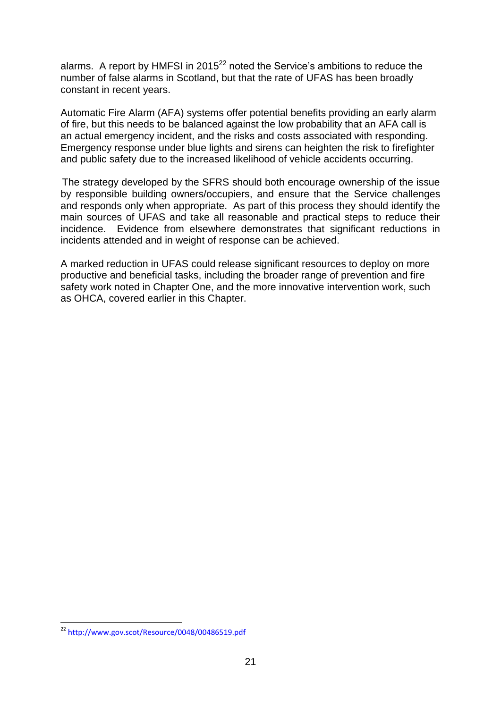alarms. A report by HMFSI in  $2015^{22}$  noted the Service's ambitions to reduce the number of false alarms in Scotland, but that the rate of UFAS has been broadly constant in recent years.

Automatic Fire Alarm (AFA) systems offer potential benefits providing an early alarm of fire, but this needs to be balanced against the low probability that an AFA call is an actual emergency incident, and the risks and costs associated with responding. Emergency response under blue lights and sirens can heighten the risk to firefighter and public safety due to the increased likelihood of vehicle accidents occurring.

The strategy developed by the SFRS should both encourage ownership of the issue by responsible building owners/occupiers, and ensure that the Service challenges and responds only when appropriate. As part of this process they should identify the main sources of UFAS and take all reasonable and practical steps to reduce their incidence. Evidence from elsewhere demonstrates that significant reductions in incidents attended and in weight of response can be achieved.

A marked reduction in UFAS could release significant resources to deploy on more productive and beneficial tasks, including the broader range of prevention and fire safety work noted in Chapter One, and the more innovative intervention work, such as OHCA, covered earlier in this Chapter.

1

<sup>&</sup>lt;sup>22</sup> <http://www.gov.scot/Resource/0048/00486519.pdf>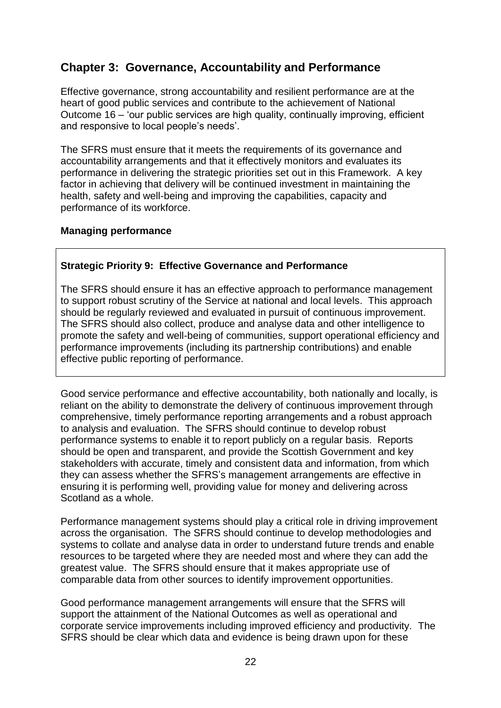## **Chapter 3: Governance, Accountability and Performance**

Effective governance, strong accountability and resilient performance are at the heart of good public services and contribute to the achievement of National Outcome 16 – "our public services are high quality, continually improving, efficient and responsive to local people"s needs".

The SFRS must ensure that it meets the requirements of its governance and accountability arrangements and that it effectively monitors and evaluates its performance in delivering the strategic priorities set out in this Framework. A key factor in achieving that delivery will be continued investment in maintaining the health, safety and well-being and improving the capabilities, capacity and performance of its workforce.

#### **Managing performance**

#### **Strategic Priority 9: Effective Governance and Performance**

The SFRS should ensure it has an effective approach to performance management to support robust scrutiny of the Service at national and local levels. This approach should be regularly reviewed and evaluated in pursuit of continuous improvement. The SFRS should also collect, produce and analyse data and other intelligence to promote the safety and well-being of communities, support operational efficiency and performance improvements (including its partnership contributions) and enable effective public reporting of performance.

Good service performance and effective accountability, both nationally and locally, is reliant on the ability to demonstrate the delivery of continuous improvement through comprehensive, timely performance reporting arrangements and a robust approach to analysis and evaluation. The SFRS should continue to develop robust performance systems to enable it to report publicly on a regular basis. Reports should be open and transparent, and provide the Scottish Government and key stakeholders with accurate, timely and consistent data and information, from which they can assess whether the SFRS"s management arrangements are effective in ensuring it is performing well, providing value for money and delivering across Scotland as a whole.

Performance management systems should play a critical role in driving improvement across the organisation. The SFRS should continue to develop methodologies and systems to collate and analyse data in order to understand future trends and enable resources to be targeted where they are needed most and where they can add the greatest value. The SFRS should ensure that it makes appropriate use of comparable data from other sources to identify improvement opportunities.

Good performance management arrangements will ensure that the SFRS will support the attainment of the National Outcomes as well as operational and corporate service improvements including improved efficiency and productivity. The SFRS should be clear which data and evidence is being drawn upon for these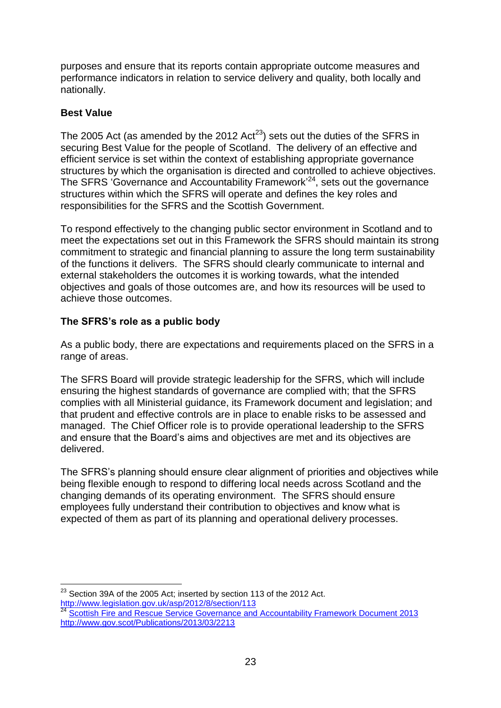purposes and ensure that its reports contain appropriate outcome measures and performance indicators in relation to service delivery and quality, both locally and nationally.

#### **Best Value**

The 2005 Act (as amended by the 2012 Act<sup>23</sup>) sets out the duties of the SFRS in securing Best Value for the people of Scotland. The delivery of an effective and efficient service is set within the context of establishing appropriate governance structures by which the organisation is directed and controlled to achieve objectives. The SFRS 'Governance and Accountability Framework<sup>24</sup>, sets out the governance structures within which the SFRS will operate and defines the key roles and responsibilities for the SFRS and the Scottish Government.

To respond effectively to the changing public sector environment in Scotland and to meet the expectations set out in this Framework the SFRS should maintain its strong commitment to strategic and financial planning to assure the long term sustainability of the functions it delivers. The SFRS should clearly communicate to internal and external stakeholders the outcomes it is working towards, what the intended objectives and goals of those outcomes are, and how its resources will be used to achieve those outcomes.

#### **The SFRS's role as a public body**

As a public body, there are expectations and requirements placed on the SFRS in a range of areas.

The SFRS Board will provide strategic leadership for the SFRS, which will include ensuring the highest standards of governance are complied with; that the SFRS complies with all Ministerial guidance, its Framework document and legislation; and that prudent and effective controls are in place to enable risks to be assessed and managed. The Chief Officer role is to provide operational leadership to the SFRS and ensure that the Board"s aims and objectives are met and its objectives are delivered.

The SFRS"s planning should ensure clear alignment of priorities and objectives while being flexible enough to respond to differing local needs across Scotland and the changing demands of its operating environment. The SFRS should ensure employees fully understand their contribution to objectives and know what is expected of them as part of its planning and operational delivery processes.

<sup>1</sup> <sup>23</sup> Section 39A of the 2005 Act; inserted by section 113 of the 2012 Act. <http://www.legislation.gov.uk/asp/2012/8/section/113>

**<sup>224</sup> [Scottish Fire and Rescue Service Governance and Accountability Framework Document 2013](http://www.gov.scot/Resource/0045/00453919.pdf)** <http://www.gov.scot/Publications/2013/03/2213>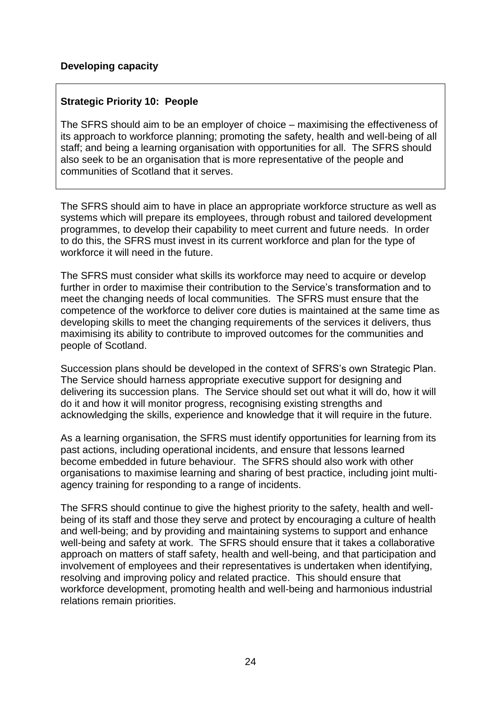#### **Strategic Priority 10: People**

The SFRS should aim to be an employer of choice – maximising the effectiveness of its approach to workforce planning; promoting the safety, health and well-being of all staff; and being a learning organisation with opportunities for all. The SFRS should also seek to be an organisation that is more representative of the people and communities of Scotland that it serves.

The SFRS should aim to have in place an appropriate workforce structure as well as systems which will prepare its employees, through robust and tailored development programmes, to develop their capability to meet current and future needs. In order to do this, the SFRS must invest in its current workforce and plan for the type of workforce it will need in the future.

The SFRS must consider what skills its workforce may need to acquire or develop further in order to maximise their contribution to the Service's transformation and to meet the changing needs of local communities. The SFRS must ensure that the competence of the workforce to deliver core duties is maintained at the same time as developing skills to meet the changing requirements of the services it delivers, thus maximising its ability to contribute to improved outcomes for the communities and people of Scotland.

Succession plans should be developed in the context of SFRS"s own Strategic Plan. The Service should harness appropriate executive support for designing and delivering its succession plans. The Service should set out what it will do, how it will do it and how it will monitor progress, recognising existing strengths and acknowledging the skills, experience and knowledge that it will require in the future.

As a learning organisation, the SFRS must identify opportunities for learning from its past actions, including operational incidents, and ensure that lessons learned become embedded in future behaviour. The SFRS should also work with other organisations to maximise learning and sharing of best practice, including joint multiagency training for responding to a range of incidents.

The SFRS should continue to give the highest priority to the safety, health and wellbeing of its staff and those they serve and protect by encouraging a culture of health and well-being; and by providing and maintaining systems to support and enhance well-being and safety at work. The SFRS should ensure that it takes a collaborative approach on matters of staff safety, health and well-being, and that participation and involvement of employees and their representatives is undertaken when identifying, resolving and improving policy and related practice. This should ensure that workforce development, promoting health and well-being and harmonious industrial relations remain priorities.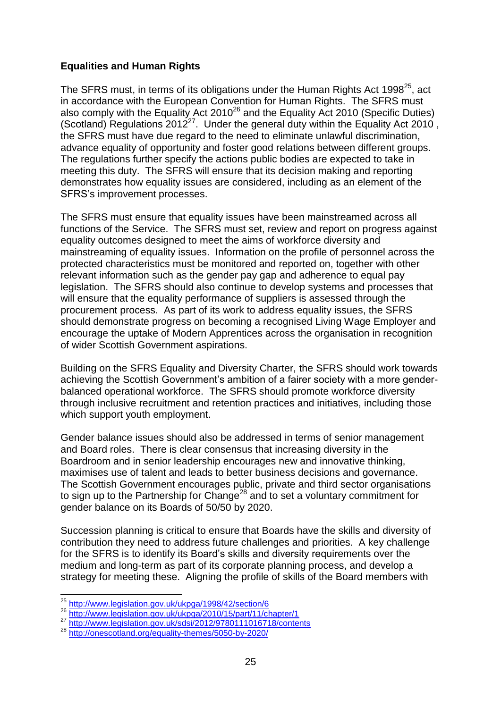#### **Equalities and Human Rights**

The SFRS must, in terms of its obligations under the Human Rights Act 1998 $^{25}$ , act in accordance with the European Convention for Human Rights. The SFRS must also comply with the Equality Act  $2010^{26}$  and the Equality Act 2010 (Specific Duties) (Scotland) Regulations  $2012^{27}$ . Under the general duty within the Equality Act 2010, the SFRS must have due regard to the need to eliminate unlawful discrimination, advance equality of opportunity and foster good relations between different groups. The regulations further specify the actions public bodies are expected to take in meeting this duty. The SFRS will ensure that its decision making and reporting demonstrates how equality issues are considered, including as an element of the SFRS"s improvement processes.

The SFRS must ensure that equality issues have been mainstreamed across all functions of the Service. The SFRS must set, review and report on progress against equality outcomes designed to meet the aims of workforce diversity and mainstreaming of equality issues. Information on the profile of personnel across the protected characteristics must be monitored and reported on, together with other relevant information such as the gender pay gap and adherence to equal pay legislation. The SFRS should also continue to develop systems and processes that will ensure that the equality performance of suppliers is assessed through the procurement process. As part of its work to address equality issues, the SFRS should demonstrate progress on becoming a recognised Living Wage Employer and encourage the uptake of Modern Apprentices across the organisation in recognition of wider Scottish Government aspirations.

Building on the SFRS Equality and Diversity Charter, the SFRS should work towards achieving the Scottish Government"s ambition of a fairer society with a more genderbalanced operational workforce. The SFRS should promote workforce diversity through inclusive recruitment and retention practices and initiatives, including those which support youth employment.

Gender balance issues should also be addressed in terms of senior management and Board roles. There is clear consensus that increasing diversity in the Boardroom and in senior leadership encourages new and innovative thinking, maximises use of talent and leads to better business decisions and governance. The Scottish Government encourages public, private and third sector organisations to sign up to the Partnership for Change<sup>28</sup> and to set a voluntary commitment for gender balance on its Boards of 50/50 by 2020.

Succession planning is critical to ensure that Boards have the skills and diversity of contribution they need to address future challenges and priorities. A key challenge for the SFRS is to identify its Board"s skills and diversity requirements over the medium and long-term as part of its corporate planning process, and develop a strategy for meeting these. Aligning the profile of skills of the Board members with

1

- 26 http://www.iegislation.gov.uk/ukpga/2010/15/part/11/chapter/1
- <sup>27</sup> <http://www.legislation.gov.uk/sdsi/2012/9780111016718/contents>

<sup>&</sup>lt;sup>25</sup> <http://www.legislation.gov.uk/ukpga/1998/42/section/6>

<sup>28</sup> <http://onescotland.org/equality-themes/5050-by-2020/>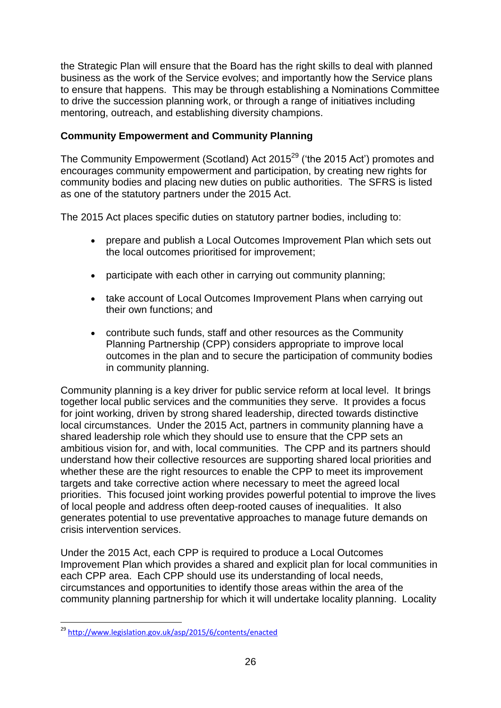the Strategic Plan will ensure that the Board has the right skills to deal with planned business as the work of the Service evolves; and importantly how the Service plans to ensure that happens. This may be through establishing a Nominations Committee to drive the succession planning work, or through a range of initiatives including mentoring, outreach, and establishing diversity champions.

#### **Community Empowerment and Community Planning**

The Community Empowerment (Scotland) Act  $2015^{29}$  ('the 2015 Act') promotes and encourages community empowerment and participation, by creating new rights for community bodies and placing new duties on public authorities. The SFRS is listed as one of the statutory partners under the 2015 Act.

The 2015 Act places specific duties on statutory partner bodies, including to:

- prepare and publish a Local Outcomes Improvement Plan which sets out the local outcomes prioritised for improvement;
- participate with each other in carrying out community planning;
- take account of Local Outcomes Improvement Plans when carrying out their own functions; and
- contribute such funds, staff and other resources as the Community Planning Partnership (CPP) considers appropriate to improve local outcomes in the plan and to secure the participation of community bodies in community planning.

Community planning is a key driver for public service reform at local level. It brings together local public services and the communities they serve. It provides a focus for joint working, driven by strong shared leadership, directed towards distinctive local circumstances. Under the 2015 Act, partners in community planning have a shared leadership role which they should use to ensure that the CPP sets an ambitious vision for, and with, local communities. The CPP and its partners should understand how their collective resources are supporting shared local priorities and whether these are the right resources to enable the CPP to meet its improvement targets and take corrective action where necessary to meet the agreed local priorities. This focused joint working provides powerful potential to improve the lives of local people and address often deep-rooted causes of inequalities. It also generates potential to use preventative approaches to manage future demands on crisis intervention services.

Under the 2015 Act, each CPP is required to produce a Local Outcomes Improvement Plan which provides a shared and explicit plan for local communities in each CPP area. Each CPP should use its understanding of local needs, circumstances and opportunities to identify those areas within the area of the community planning partnership for which it will undertake locality planning. Locality

<sup>1</sup> <sup>29</sup> <http://www.legislation.gov.uk/asp/2015/6/contents/enacted>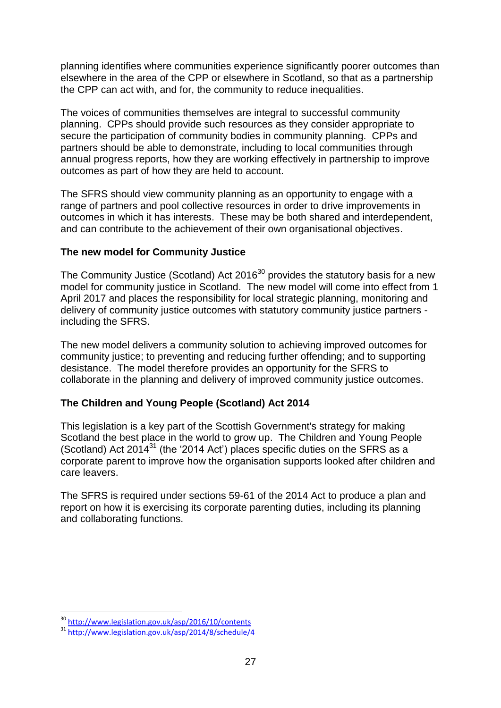planning identifies where communities experience significantly poorer outcomes than elsewhere in the area of the CPP or elsewhere in Scotland, so that as a partnership the CPP can act with, and for, the community to reduce inequalities.

The voices of communities themselves are integral to successful community planning. CPPs should provide such resources as they consider appropriate to secure the participation of community bodies in community planning. CPPs and partners should be able to demonstrate, including to local communities through annual progress reports, how they are working effectively in partnership to improve outcomes as part of how they are held to account.

The SFRS should view community planning as an opportunity to engage with a range of partners and pool collective resources in order to drive improvements in outcomes in which it has interests. These may be both shared and interdependent, and can contribute to the achievement of their own organisational objectives.

#### **The new model for Community Justice**

The Community Justice (Scotland) Act 2016 $30$  provides the statutory basis for a new model for community justice in Scotland. The new model will come into effect from 1 April 2017 and places the responsibility for local strategic planning, monitoring and delivery of community justice outcomes with statutory community justice partners including the SFRS.

The new model delivers a community solution to achieving improved outcomes for community justice; to preventing and reducing further offending; and to supporting desistance. The model therefore provides an opportunity for the SFRS to collaborate in the planning and delivery of improved community justice outcomes.

#### **The Children and Young People (Scotland) Act 2014**

This legislation is a key part of the Scottish Government's strategy for making Scotland the best place in the world to grow up. The Children and Young People (Scotland) Act 2014 $^{31}$  (the '2014 Act') places specific duties on the SFRS as a corporate parent to improve how the organisation supports looked after children and care leavers.

The SFRS is required under sections 59-61 of the 2014 Act to produce a plan and report on how it is exercising its corporate parenting duties, including its planning and collaborating functions.

1

<sup>&</sup>lt;sup>30</sup> <http://www.legislation.gov.uk/asp/2016/10/contents>

 $\frac{31 \text{ http://www.legislation.gov.uk/asp/2014/8/scheduling}}{21 \text{ http://www.legislation.gov.uk/asp/2014/8/scheduling}}$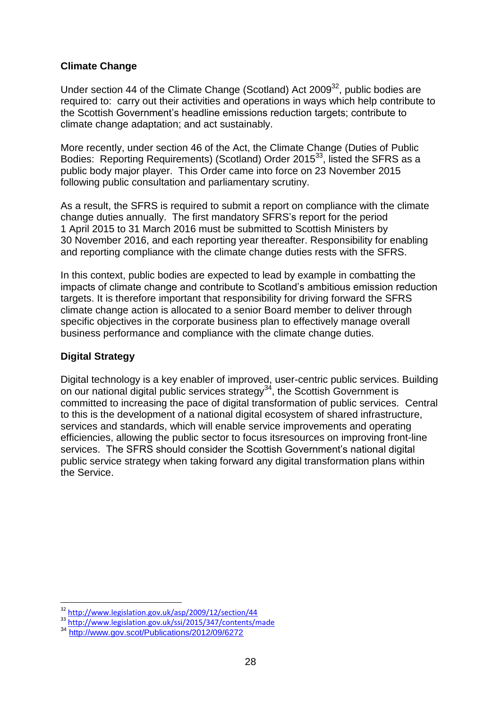#### **Climate Change**

Under section 44 of the Climate Change (Scotland) Act  $2009^{32}$ , public bodies are required to: carry out their activities and operations in ways which help contribute to the Scottish Government"s headline emissions reduction targets; contribute to climate change adaptation; and act sustainably.

More recently, under section 46 of the Act, the Climate Change (Duties of Public Bodies: Reporting Requirements) (Scotland) Order 2015<sup>33</sup>, listed the SFRS as a public body major player. This Order came into force on 23 November 2015 following public consultation and parliamentary scrutiny.

As a result, the SFRS is required to submit a report on compliance with the climate change duties annually. The first mandatory SFRS"s report for the period 1 April 2015 to 31 March 2016 must be submitted to Scottish Ministers by 30 November 2016, and each reporting year thereafter. Responsibility for enabling and reporting compliance with the climate change duties rests with the SFRS.

In this context, public bodies are expected to lead by example in combatting the impacts of climate change and contribute to Scotland"s ambitious emission reduction targets. It is therefore important that responsibility for driving forward the SFRS climate change action is allocated to a senior Board member to deliver through specific objectives in the corporate business plan to effectively manage overall business performance and compliance with the climate change duties.

#### **Digital Strategy**

1

Digital technology is a key enabler of improved, user-centric public services. Building on our national digital public services strategy<sup>34</sup>, the Scottish Government is committed to increasing the pace of digital transformation of public services. Central to this is the development of a national digital ecosystem of shared infrastructure, services and standards, which will enable service improvements and operating efficiencies, allowing the public sector to focus itsresources on improving front-line services. The SFRS should consider the Scottish Government's national digital public service strategy when taking forward any digital transformation plans within the Service.

<sup>&</sup>lt;sup>32</sup> <http://www.legislation.gov.uk/asp/2009/12/section/44>

<sup>33</sup> <http://www.legislation.gov.uk/ssi/2015/347/contents/made>

<sup>34</sup> <http://www.gov.scot/Publications/2012/09/6272>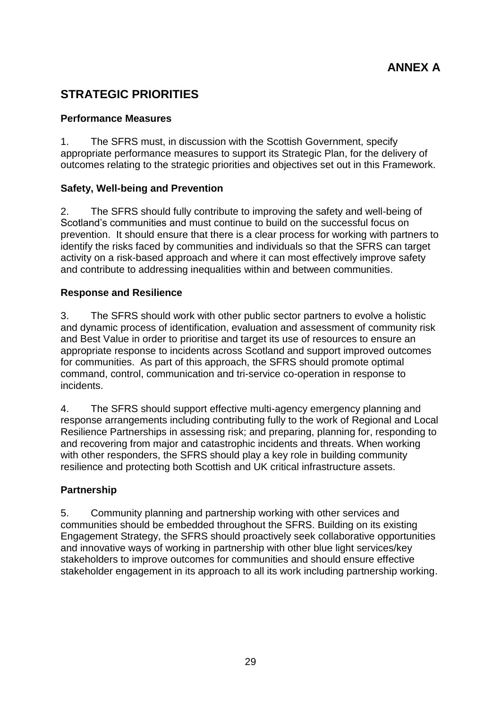## **STRATEGIC PRIORITIES**

#### **Performance Measures**

1. The SFRS must, in discussion with the Scottish Government, specify appropriate performance measures to support its Strategic Plan, for the delivery of outcomes relating to the strategic priorities and objectives set out in this Framework.

#### **Safety, Well-being and Prevention**

2. The SFRS should fully contribute to improving the safety and well-being of Scotland"s communities and must continue to build on the successful focus on prevention. It should ensure that there is a clear process for working with partners to identify the risks faced by communities and individuals so that the SFRS can target activity on a risk-based approach and where it can most effectively improve safety and contribute to addressing inequalities within and between communities.

#### **Response and Resilience**

3. The SFRS should work with other public sector partners to evolve a holistic and dynamic process of identification, evaluation and assessment of community risk and Best Value in order to prioritise and target its use of resources to ensure an appropriate response to incidents across Scotland and support improved outcomes for communities. As part of this approach, the SFRS should promote optimal command, control, communication and tri-service co-operation in response to incidents.

4. The SFRS should support effective multi-agency emergency planning and response arrangements including contributing fully to the work of Regional and Local Resilience Partnerships in assessing risk; and preparing, planning for, responding to and recovering from major and catastrophic incidents and threats. When working with other responders, the SFRS should play a key role in building community resilience and protecting both Scottish and UK critical infrastructure assets.

#### **Partnership**

5. Community planning and partnership working with other services and communities should be embedded throughout the SFRS. Building on its existing Engagement Strategy, the SFRS should proactively seek collaborative opportunities and innovative ways of working in partnership with other blue light services/key stakeholders to improve outcomes for communities and should ensure effective stakeholder engagement in its approach to all its work including partnership working.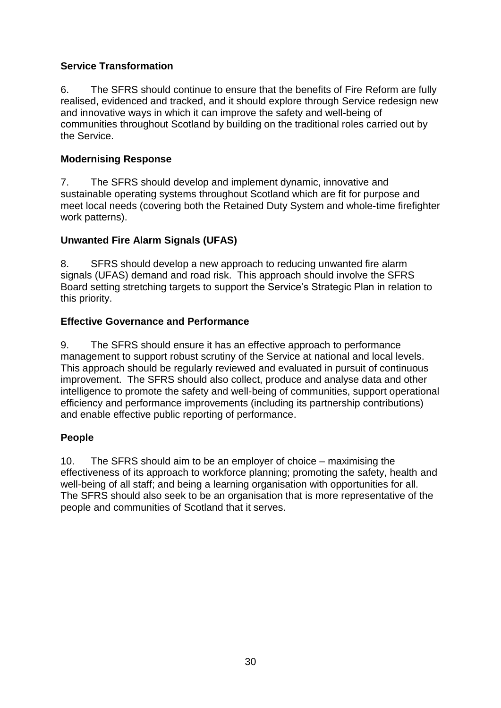#### **Service Transformation**

6. The SFRS should continue to ensure that the benefits of Fire Reform are fully realised, evidenced and tracked, and it should explore through Service redesign new and innovative ways in which it can improve the safety and well-being of communities throughout Scotland by building on the traditional roles carried out by the Service.

#### **Modernising Response**

7. The SFRS should develop and implement dynamic, innovative and sustainable operating systems throughout Scotland which are fit for purpose and meet local needs (covering both the Retained Duty System and whole-time firefighter work patterns).

#### **Unwanted Fire Alarm Signals (UFAS)**

8. SFRS should develop a new approach to reducing unwanted fire alarm signals (UFAS) demand and road risk. This approach should involve the SFRS Board setting stretching targets to support the Service"s Strategic Plan in relation to this priority.

#### **Effective Governance and Performance**

9. The SFRS should ensure it has an effective approach to performance management to support robust scrutiny of the Service at national and local levels. This approach should be regularly reviewed and evaluated in pursuit of continuous improvement. The SFRS should also collect, produce and analyse data and other intelligence to promote the safety and well-being of communities, support operational efficiency and performance improvements (including its partnership contributions) and enable effective public reporting of performance.

#### **People**

10. The SFRS should aim to be an employer of choice – maximising the effectiveness of its approach to workforce planning; promoting the safety, health and well-being of all staff; and being a learning organisation with opportunities for all. The SFRS should also seek to be an organisation that is more representative of the people and communities of Scotland that it serves.